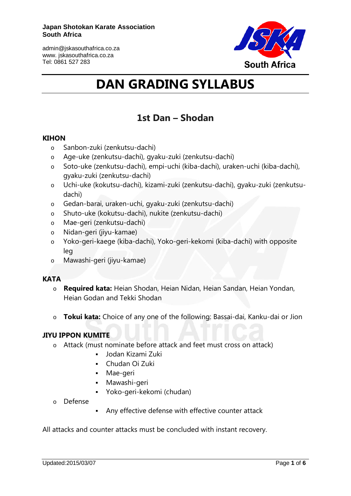

# **DAN GRADING SYLLABUS**

## **1st Dan – [Shodan](http://karateacademy.co.za/grading-syllabus/dan-syllabus/shodan/)**

#### **KIHON**

- o Sanbon-zuki (zenkutsu-dachi)
- o Age-uke (zenkutsu-dachi), gyaku-zuki (zenkutsu-dachi)
- o Soto-uke (zenkutsu-dachi), empi-uchi (kiba-dachi), uraken-uchi (kiba-dachi), gyaku-zuki (zenkutsu-dachi)
- o Uchi-uke (kokutsu-dachi), kizami-zuki (zenkutsu-dachi), gyaku-zuki (zenkutsudachi)
- o Gedan-barai, uraken-uchi, gyaku-zuki (zenkutsu-dachi)
- o Shuto-uke (kokutsu-dachi), nukite (zenkutsu-dachi)
- o Mae-geri (zenkutsu-dachi)
- o Nidan-geri (jiyu-kamae)
- o Yoko-geri-kaege (kiba-dachi), Yoko-geri-kekomi (kiba-dachi) with opposite leg
- o Mawashi-geri (jiyu-kamae)

### **KATA**

- o **Required kata:** Heian Shodan, Heian Nidan, Heian Sandan, Heian Yondan, Heian Godan and Tekki Shodan
- o **Tokui kata:** Choice of any one of the following: Bassai-dai, Kanku-dai or Jion

#### **JIYU IPPON KUMITE**

- o Attack (must nominate before attack and feet must cross on attack)
	- Jodan Kizami Zuki
	- Chudan Oi Zuki
	- Mae-geri
	- Mawashi-geri
	- Yoko-geri-kekomi (chudan)
- o Defense
- Any effective defense with effective counter attack

All attacks and counter attacks must be concluded with instant recovery.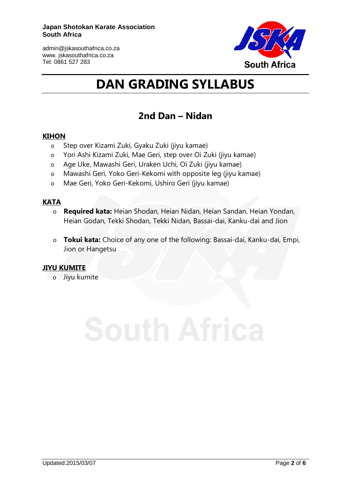

# **DAN GRADING SYLLABUS**

## **2nd Dan – [Nidan](http://karateacademy.co.za/grading-syllabus/dan-syllabus/2nd-dan-nidan/)**

#### **KIHON**

- o Step over Kizami Zuki, Gyaku Zuki (jiyu kamae)
- o Yori Ashi Kizami Zuki, Mae Geri, step over Oi Zuki (jiyu kamae)
- o Age Uke, Mawashi Geri, Uraken Uchi, Oi Zuki (jiyu kamae)
- o Mawashi Geri, Yoko Geri-Kekomi with opposite leg (jiyu kamae)
- o Mae Geri, Yoko Geri-Kekomi, Ushiro Geri (jiyu kamae)

### **KATA**

- o **Required kata:** Heian Shodan, Heian Nidan, Heian Sandan, Heian Yondan, Heian Godan, Tekki Shodan, Tekki Nidan, Bassai-dai, Kanku-dai and Jion
- o **Tokui kata:** Choice of any one of the following: Bassai-dai, Kanku-dai, Empi, Jion or Hangetsu

#### **JIYU KUMITE**

o Jiyu kumite

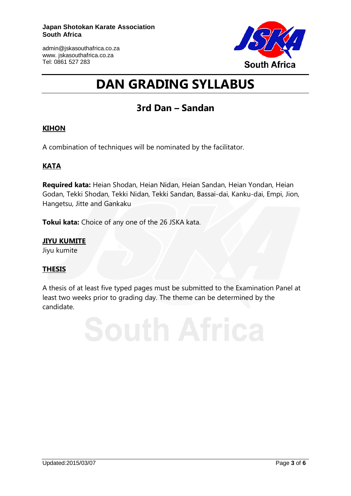

# **DAN GRADING SYLLABUS**

## **3rd Dan – [Sandan](http://karateacademy.co.za/grading-syllabus/dan-syllabus/2nd-dan-nidan/)**

## **KIHON**

A combination of techniques will be nominated by the facilitator.

## **KATA**

**Required kata:** Heian Shodan, Heian Nidan, Heian Sandan, Heian Yondan, Heian Godan, Tekki Shodan, Tekki Nidan, Tekki Sandan, Bassai-dai, Kanku-dai, Empi, Jion, Hangetsu, Jitte and Gankaku

**Tokui kata:** Choice of any one of the 26 JSKA kata.

## **JIYU KUMITE**

Jiyu kumite

## **THESIS**

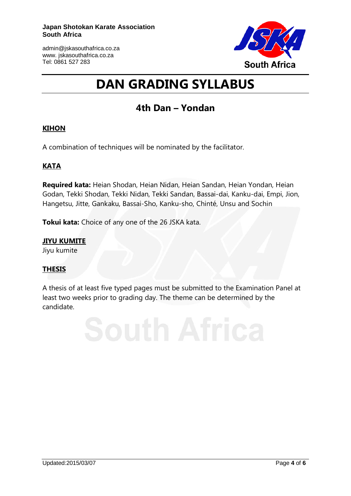

## **DAN GRADING SYLLABUS**

## **4th Dan – [Yondan](http://karateacademy.co.za/grading-syllabus/dan-syllabus/2nd-dan-nidan/)**

## **KIHON**

A combination of techniques will be nominated by the facilitator.

## **KATA**

**Required kata:** Heian Shodan, Heian Nidan, Heian Sandan, Heian Yondan, Heian Godan, Tekki Shodan, Tekki Nidan, Tekki Sandan, Bassai-dai, Kanku-dai, Empi, Jion, Hangetsu, Jitte, Gankaku, Bassai-Sho, Kanku-sho, Chinté, Unsu and Sochin

**Tokui kata:** Choice of any one of the 26 JSKA kata.

## **JIYU KUMITE**

Jiyu kumite

## **THESIS**

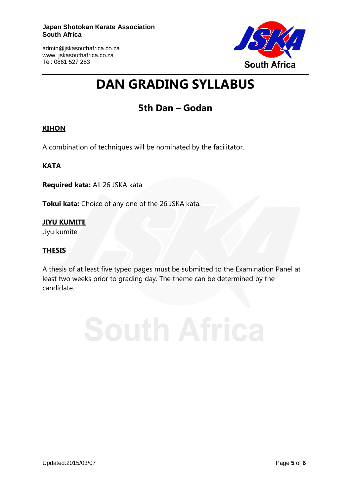

# **DAN GRADING SYLLABUS**

## **5th Dan – [Godan](http://karateacademy.co.za/grading-syllabus/dan-syllabus/2nd-dan-nidan/)**

### **KIHON**

A combination of techniques will be nominated by the facilitator.

## **KATA**

**Required kata:** All 26 JSKA kata

**Tokui kata:** Choice of any one of the 26 JSKA kata.

**JIYU KUMITE** Jiyu kumite

### **THESIS**